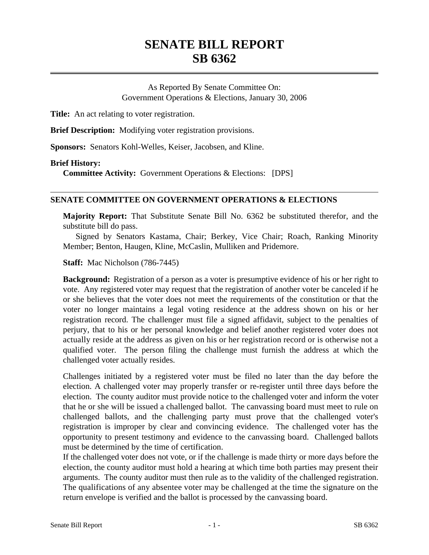# **SENATE BILL REPORT SB 6362**

As Reported By Senate Committee On: Government Operations & Elections, January 30, 2006

**Title:** An act relating to voter registration.

**Brief Description:** Modifying voter registration provisions.

**Sponsors:** Senators Kohl-Welles, Keiser, Jacobsen, and Kline.

#### **Brief History:**

**Committee Activity:** Government Operations & Elections: [DPS]

### **SENATE COMMITTEE ON GOVERNMENT OPERATIONS & ELECTIONS**

**Majority Report:** That Substitute Senate Bill No. 6362 be substituted therefor, and the substitute bill do pass.

Signed by Senators Kastama, Chair; Berkey, Vice Chair; Roach, Ranking Minority Member; Benton, Haugen, Kline, McCaslin, Mulliken and Pridemore.

**Staff:** Mac Nicholson (786-7445)

**Background:** Registration of a person as a voter is presumptive evidence of his or her right to vote. Any registered voter may request that the registration of another voter be canceled if he or she believes that the voter does not meet the requirements of the constitution or that the voter no longer maintains a legal voting residence at the address shown on his or her registration record. The challenger must file a signed affidavit, subject to the penalties of perjury, that to his or her personal knowledge and belief another registered voter does not actually reside at the address as given on his or her registration record or is otherwise not a qualified voter. The person filing the challenge must furnish the address at which the challenged voter actually resides.

Challenges initiated by a registered voter must be filed no later than the day before the election. A challenged voter may properly transfer or re-register until three days before the election. The county auditor must provide notice to the challenged voter and inform the voter that he or she will be issued a challenged ballot. The canvassing board must meet to rule on challenged ballots, and the challenging party must prove that the challenged voter's registration is improper by clear and convincing evidence. The challenged voter has the opportunity to present testimony and evidence to the canvassing board. Challenged ballots must be determined by the time of certification.

If the challenged voter does not vote, or if the challenge is made thirty or more days before the election, the county auditor must hold a hearing at which time both parties may present their arguments. The county auditor must then rule as to the validity of the challenged registration. The qualifications of any absentee voter may be challenged at the time the signature on the return envelope is verified and the ballot is processed by the canvassing board.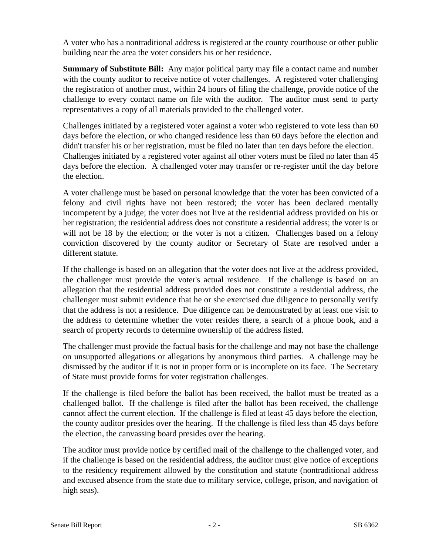A voter who has a nontraditional address is registered at the county courthouse or other public building near the area the voter considers his or her residence.

**Summary of Substitute Bill:** Any major political party may file a contact name and number with the county auditor to receive notice of voter challenges. A registered voter challenging the registration of another must, within 24 hours of filing the challenge, provide notice of the challenge to every contact name on file with the auditor. The auditor must send to party representatives a copy of all materials provided to the challenged voter.

Challenges initiated by a registered voter against a voter who registered to vote less than 60 days before the election, or who changed residence less than 60 days before the election and didn't transfer his or her registration, must be filed no later than ten days before the election. Challenges initiated by a registered voter against all other voters must be filed no later than 45 days before the election. A challenged voter may transfer or re-register until the day before the election.

A voter challenge must be based on personal knowledge that: the voter has been convicted of a felony and civil rights have not been restored; the voter has been declared mentally incompetent by a judge; the voter does not live at the residential address provided on his or her registration; the residential address does not constitute a residential address; the voter is or will not be 18 by the election; or the voter is not a citizen. Challenges based on a felony conviction discovered by the county auditor or Secretary of State are resolved under a different statute.

If the challenge is based on an allegation that the voter does not live at the address provided, the challenger must provide the voter's actual residence. If the challenge is based on an allegation that the residential address provided does not constitute a residential address, the challenger must submit evidence that he or she exercised due diligence to personally verify that the address is not a residence. Due diligence can be demonstrated by at least one visit to the address to determine whether the voter resides there, a search of a phone book, and a search of property records to determine ownership of the address listed.

The challenger must provide the factual basis for the challenge and may not base the challenge on unsupported allegations or allegations by anonymous third parties. A challenge may be dismissed by the auditor if it is not in proper form or is incomplete on its face. The Secretary of State must provide forms for voter registration challenges.

If the challenge is filed before the ballot has been received, the ballot must be treated as a challenged ballot. If the challenge is filed after the ballot has been received, the challenge cannot affect the current election. If the challenge is filed at least 45 days before the election, the county auditor presides over the hearing. If the challenge is filed less than 45 days before the election, the canvassing board presides over the hearing.

The auditor must provide notice by certified mail of the challenge to the challenged voter, and if the challenge is based on the residential address, the auditor must give notice of exceptions to the residency requirement allowed by the constitution and statute (nontraditional address and excused absence from the state due to military service, college, prison, and navigation of high seas).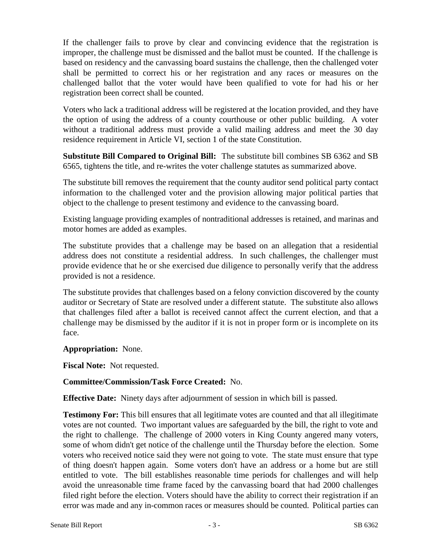If the challenger fails to prove by clear and convincing evidence that the registration is improper, the challenge must be dismissed and the ballot must be counted. If the challenge is based on residency and the canvassing board sustains the challenge, then the challenged voter shall be permitted to correct his or her registration and any races or measures on the challenged ballot that the voter would have been qualified to vote for had his or her registration been correct shall be counted.

Voters who lack a traditional address will be registered at the location provided, and they have the option of using the address of a county courthouse or other public building. A voter without a traditional address must provide a valid mailing address and meet the 30 day residence requirement in Article VI, section 1 of the state Constitution.

**Substitute Bill Compared to Original Bill:** The substitute bill combines SB 6362 and SB 6565, tightens the title, and re-writes the voter challenge statutes as summarized above.

The substitute bill removes the requirement that the county auditor send political party contact information to the challenged voter and the provision allowing major political parties that object to the challenge to present testimony and evidence to the canvassing board.

Existing language providing examples of nontraditional addresses is retained, and marinas and motor homes are added as examples.

The substitute provides that a challenge may be based on an allegation that a residential address does not constitute a residential address. In such challenges, the challenger must provide evidence that he or she exercised due diligence to personally verify that the address provided is not a residence.

The substitute provides that challenges based on a felony conviction discovered by the county auditor or Secretary of State are resolved under a different statute. The substitute also allows that challenges filed after a ballot is received cannot affect the current election, and that a challenge may be dismissed by the auditor if it is not in proper form or is incomplete on its face.

**Appropriation:** None.

**Fiscal Note:** Not requested.

## **Committee/Commission/Task Force Created:** No.

**Effective Date:** Ninety days after adjournment of session in which bill is passed.

**Testimony For:** This bill ensures that all legitimate votes are counted and that all illegitimate votes are not counted. Two important values are safeguarded by the bill, the right to vote and the right to challenge. The challenge of 2000 voters in King County angered many voters, some of whom didn't get notice of the challenge until the Thursday before the election. Some voters who received notice said they were not going to vote. The state must ensure that type of thing doesn't happen again. Some voters don't have an address or a home but are still entitled to vote. The bill establishes reasonable time periods for challenges and will help avoid the unreasonable time frame faced by the canvassing board that had 2000 challenges filed right before the election. Voters should have the ability to correct their registration if an error was made and any in-common races or measures should be counted. Political parties can